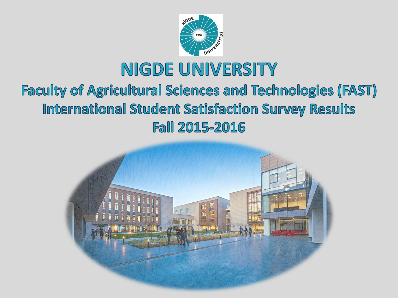

# NIGDE UNIVERSITY

#### **Faculty of Agricultural Sciences and Technologies (FAST) International Student Satisfaction Survey Results Fall 2015-2016**

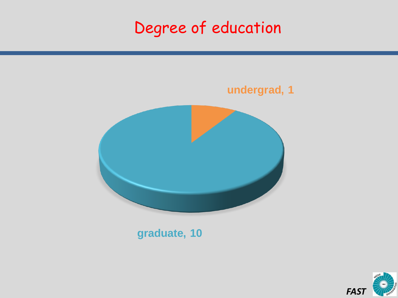# Degree of education



**graduate, 10**

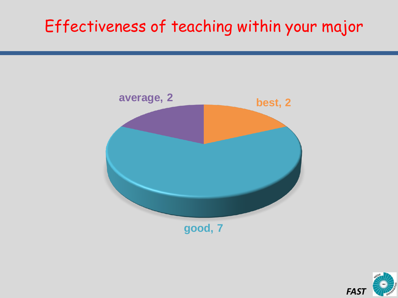# Effectiveness of teaching within your major



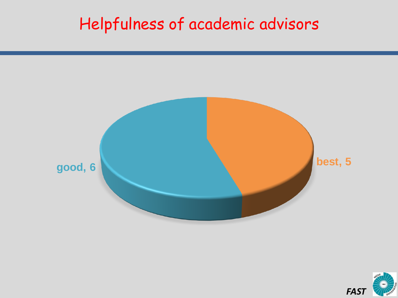## Helpfulness of academic advisors



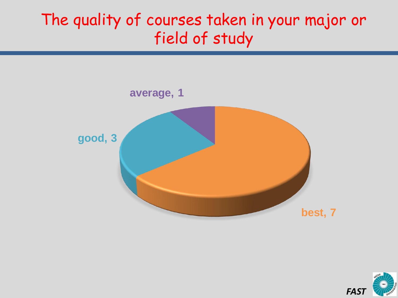#### The quality of courses taken in your major or field of study



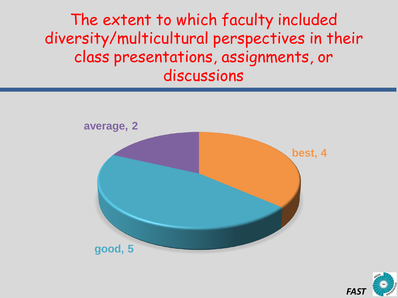The extent to which faculty included diversity/multicultural perspectives in their class presentations, assignments, or discussions



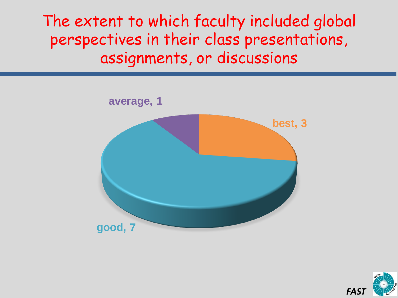The extent to which faculty included global perspectives in their class presentations, assignments, or discussions



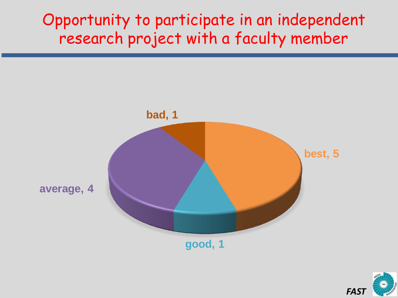#### Opportunity to participate in an independent research project with a faculty member



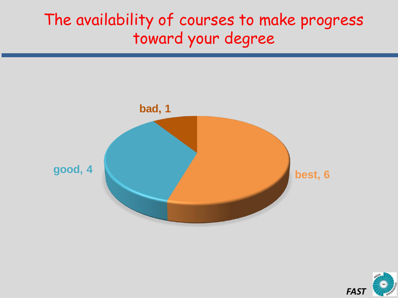#### The availability of courses to make progress toward your degree



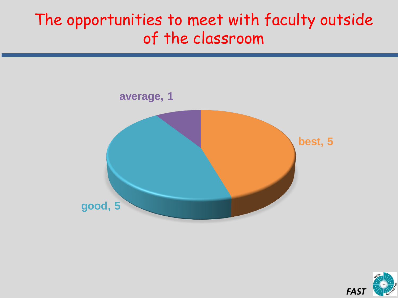#### The opportunities to meet with faculty outside of the classroom



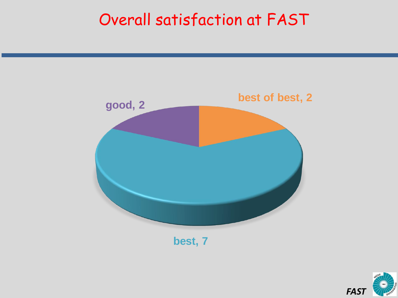#### Overall satisfaction at FAST